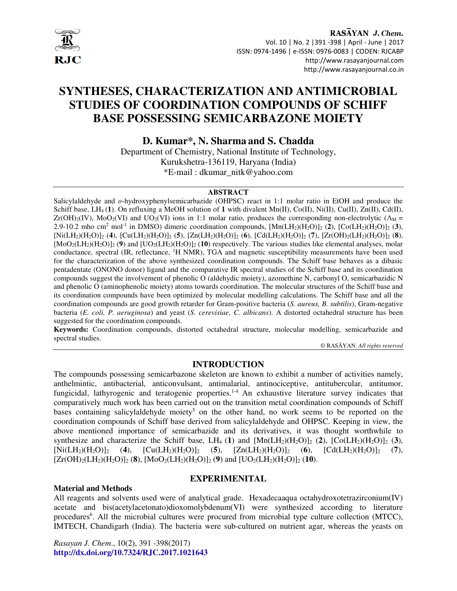

# **SYNTHESES, CHARACTERIZATION AND ANTIMICROBIAL STUDIES OF COORDINATION COMPOUNDS OF SCHIFF BASE POSSESSING SEMICARBAZONE MOIETY**

**D. Kumar***\****, N. Sharma and S. Chadda** 

Department of Chemistry, National Institute of Technology, Kurukshetra-136119, Haryana (India) \*E-mail : dkumar\_nitk@yahoo.com

#### **ABSTRACT**

Salicylaldehyde and *o*-hydroxyphenylsemicarbazide (OHPSC) react in 1:1 molar ratio in EtOH and produce the Schiff base,  $LH_4(1)$ . On refluxing a MeOH solution of 1 with divalent Mn(II), Co(II), Ni(II), Cu(II), Zn(II), Cd(II),  $Zr(OH)<sub>2</sub>(IV)$ , MoO<sub>2</sub>(VI) and UO<sub>2</sub>(VI) ions in 1:1 molar ratio, produces the corresponding non-electrolytic ( $\Lambda_M$  = 2.9-10.2 mho cm<sup>2</sup> mol<sup>-1</sup> in DMSO) dimeric coordination compounds,  $[{\rm Mn}({\rm LH}_2)({\rm H}_2{\rm O})]_2$  (2),  $[{\rm Co}({\rm LH}_2)({\rm H}_2{\rm O})]_2$  (3), [Ni(LH2)(H2O)]2 (**4**), [Cu(LH2)(H2O)]2 (**5**), [Zn(LH2)(H2O)]2 (**6**), [Cd(LH2)(H2O)]2 (**7**), [Zr(OH)2(LH2)(H2O)]2 (**8**),  $[M_0O_2(LH_2)(H_2O)]_2$  (**9**) and  $[U_0O_2(LH_2)(H_2O)]_2$  (**10**) respectively. The various studies like elemental analyses, molar conductance, spectral (IR, reflectance, <sup>1</sup>H NMR), TGA and magnetic susceptibility measurements have been used for the characterization of the above synthesized coordination compounds. The Schiff base behaves as a dibasic pentadentate (ONONO donor) ligand and the comparative IR spectral studies of the Schiff base and its coordination compounds suggest the involvement of phenolic O (aldehydic moiety), azomethine N, carbonyl O, semicarbazidic N and phenolic O (aminophenolic moiety) atoms towards coordination. The molecular structures of the Schiff base and its coordination compounds have been optimized by molecular modelling calculations. The Schiff base and all the coordination compounds are good growth retarder for Gram-positive bacteria (*S. aureus, B. subtilis*), Gram-negative bacteria (*E. coli, P. aeruginosa*) and yeast (*S. cerevisiae, C. albicans*). A distorted octahedral structure has been suggested for the coordination compounds.

**Keywords:** Coordination compounds, distorted octahedral structure, molecular modelling, semicarbazide and spectral studies.

© RASĀYAN. *All rights reserved*

### **INTRODUCTION**

The compounds possessing semicarbazone skeleton are known to exhibit a number of activities namely, anthelmintic, antibacterial, anticonvulsant, antimalarial, antinociceptive, antitubercular, antitumor, fungicidal, lathyrogenic and teratogenic properties. 1-4 An exhaustive literature survey indicates that comparatively much work has been carried out on the transition metal coordination compounds of Schiff bases containing salicylaldehyde moiety<sup>5</sup> on the other hand, no work seems to be reported on the coordination compounds of Schiff base derived from salicylaldehyde and OHPSC. Keeping in view, the above mentioned importance of semicarbazide and its derivatives, it was thought worthwhile to synthesize and characterize the Schiff base, LH<sub>4</sub> (1) and  $[Mn(LH_2)(H_2O)]_2$  (2),  $[Co(LH_2)(H_2O)]_2$  (3),  $[Ni(LH_2)(H_2O)]_2$  (4),  $[Cu(LH_2)(H_2O)]_2$  (5),  $[Zn(LH_2)(H_2O)]_2$  (6),  $[Cd(LH_2)(H_2O)]_2$  (7),  $[Zr(OH)_2(LH_2)(H_2O)]_2$  (8),  $[M_0O_2(LH_2)(H_2O)]_2$  (9) and  $[U_0(LH_2)(H_2O)]_2$  (10).

#### **Material and Methods**

## **EXPERIMENITAL**

All reagents and solvents used were of analytical grade. Hexadecaaqua octahydroxotetrazirconium(IV) acetate and bis(acetylacetonato)dioxomolybdenum(VI) were synthesized according to literature procedures<sup>6</sup>. All the microbial cultures were procured from microbial type culture collection (MTCC), IMTECH, Chandigarh (India). The bacteria were sub-cultured on nutrient agar, whereas the yeasts on

*Rasayan J. Chem*., 10(2), 391 -398(2017) **http://dx.doi.org/10.7324/RJC.2017.1021643**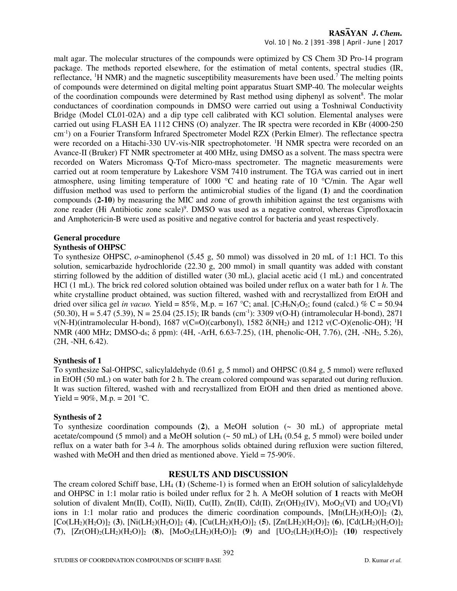## RASAYAN J. Chem.

Vol. 10 | No. 2 |391 -398 | April - June | 2017

malt agar. The molecular structures of the compounds were optimized by CS Chem 3D Pro-14 program package. The methods reported elsewhere, for the estimation of metal contents, spectral studies (IR, reflectance,  ${}^{1}$ H NMR) and the magnetic susceptibility measurements have been used.<sup>7</sup> The melting points of compounds were determined on digital melting point apparatus Stuart SMP-40. The molecular weights of the coordination compounds were determined by Rast method using diphenyl as solvent<sup>8</sup>. The molar conductances of coordination compounds in DMSO were carried out using a Toshniwal Conductivity Bridge (Model CL01-02A) and a dip type cell calibrated with KCl solution. Elemental analyses were carried out using FLASH EA 1112 CHNS (O) analyzer. The IR spectra were recorded in KBr (4000-250 cm-1) on a Fourier Transform Infrared Spectrometer Model RZX (Perkin Elmer). The reflectance spectra were recorded on a Hitachi-330 UV-vis-NIR spectrophotometer. <sup>1</sup>H NMR spectra were recorded on an Avance-II (Bruker) FT NMR spectrometer at 400 MHz, using DMSO as a solvent. The mass spectra were recorded on Waters Micromass Q-Tof Micro-mass spectrometer. The magnetic measurements were carried out at room temperature by Lakeshore VSM 7410 instrument. The TGA was carried out in inert atmosphere, using limiting temperature of 1000 °C and heating rate of 10 °C/min. The Agar well diffusion method was used to perform the antimicrobial studies of the ligand (**1**) and the coordination compounds (**2-10**) by measuring the MIC and zone of growth inhibition against the test organisms with zone reader (Hi Antibiotic zone scale)<sup>9</sup>. DMSO was used as a negative control, whereas Ciprofloxacin and Amphotericin-B were used as positive and negative control for bacteria and yeast respectively.

## **General procedure**

### **Synthesis of OHPSC**

To synthesize OHPSC, *o*-aminophenol (5.45 g, 50 mmol) was dissolved in 20 mL of 1:1 HCl. To this solution, semicarbazide hydrochloride (22.30 g, 200 mmol) in small quantity was added with constant stirring followed by the addition of distilled water (30 mL), glacial acetic acid (1 mL) and concentrated HCl (1 mL). The brick red colored solution obtained was boiled under reflux on a water bath for 1 *h*. The white crystalline product obtained, was suction filtered, washed with and recrystallized from EtOH and dried over silica gel *in vacuo*. Yield = 85%, M.p. = 167 °C; anal. [C<sub>7</sub>H<sub>9</sub>N<sub>3</sub>O<sub>2</sub>; found (calcd.) % C = 50.94  $(50.30)$ , H = 5.47 (5.39), N = 25.04 (25.15); IR bands (cm<sup>-1</sup>): 3309 y(O-H) (intramolecular H-bond), 2871 ν(N-H)(intramolecular H-bond), 1687 ν(C=O)(carbonyl), 1582 δ(NH2) and 1212 ν(C-O)(enolic-OH); <sup>1</sup>H NMR (400 MHz; DMSO-d<sub>6</sub>; δ ppm): (4H, -ArH, 6.63-7.25), (1H, phenolic-OH, 7.76), (2H, -NH<sub>2</sub>, 5.26), (2H, -NH, 6.42).

## **Synthesis of 1**

To synthesize Sal-OHPSC, salicylaldehyde (0.61 g, 5 mmol) and OHPSC (0.84 g, 5 mmol) were refluxed in EtOH (50 mL) on water bath for 2 h. The cream colored compound was separated out during refluxion. It was suction filtered, washed with and recrystallized from EtOH and then dried as mentioned above. Yield = 90%, M.p. = 201 °C.

## **Synthesis of 2**

To synthesize coordination compounds (**2**), a MeOH solution (~ 30 mL) of appropriate metal acetate/compound (5 mmol) and a MeOH solution  $\sim$  50 mL) of LH<sub>4</sub> (0.54 g, 5 mmol) were boiled under reflux on a water bath for 3-4 *h*. The amorphous solids obtained during refluxion were suction filtered, washed with MeOH and then dried as mentioned above. Yield = 75-90%.

## **RESULTS AND DISCUSSION**

The cream colored Schiff base, LH4 (**1**) (Scheme-1) is formed when an EtOH solution of salicylaldehyde and OHPSC in 1:1 molar ratio is boiled under reflux for 2 h. A MeOH solution of **1** reacts with MeOH solution of divalent Mn(II), Co(II), Ni(II), Cu(II), Zn(II), Cd(II), Zr(OH)<sub>2</sub>(IV), MoO<sub>2</sub>(VI) and UO<sub>2</sub>(VI) ions in 1:1 molar ratio and produces the dimeric coordination compounds,  $[Mn(LH<sub>2</sub>)(H<sub>2</sub>O)]<sub>2</sub> (2),$ [Co(LH2)(H2O)]2 (**3**), [Ni(LH2)(H2O)]2 (**4**), [Cu(LH2)(H2O)]2 (**5**), [Zn(LH2)(H2O)]2 (**6**), [Cd(LH2)(H2O)]<sup>2</sup>  $(7)$ ,  $[Zr(OH)_2(LH_2)(H_2O)]_2$  (8),  $[M_0O_2(LH_2)(H_2O)]_2$  (9) and  $[U_0(2LH_2)(H_2O)]_2$  (10) respectively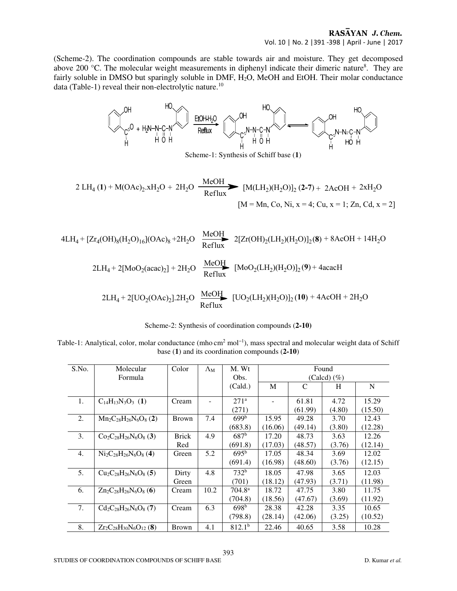(Scheme-2). The coordination compounds are stable towards air and moisture. They get decomposed above 200  $^{\circ}$ C. The molecular weight measurements in diphenyl indicate their dimeric nature<sup>8</sup>. They are fairly soluble in DMSO but sparingly soluble in DMF, H<sub>2</sub>O, MeOH and EtOH. Their molar conductance data (Table-1) reveal their non-electrolytic nature.<sup>10</sup>



| Scheme-2: Synthesis of coordination compounds (2-10) |  |  |
|------------------------------------------------------|--|--|
|------------------------------------------------------|--|--|

Table-1: Analytical, color, molar conductance (mho cm<sup>2</sup> mol<sup>-1</sup>), mass spectral and molecular weight data of Schiff base (**1**) and its coordination compounds (**2-10**)

| S.No. | Molecular                       | Color        | $\Lambda_{\rm M}$ | M. Wt              | Found           |               |        |         |
|-------|---------------------------------|--------------|-------------------|--------------------|-----------------|---------------|--------|---------|
|       | Formula                         |              |                   | Obs.               | (Calcd) $(\% )$ |               |        |         |
|       |                                 |              |                   | (Cald.)            | M               | $\mathcal{C}$ | H      | N       |
|       |                                 |              |                   |                    |                 |               |        |         |
| 1.    | $C_{14}H_{13}N_3O_3$ (1)        | Cream        |                   | 271 <sup>a</sup>   |                 | 61.81         | 4.72   | 15.29   |
|       |                                 |              |                   | (271)              |                 | (61.99)       | (4.80) | (15.50) |
| 2.    | $Mn_2C_{28}H_{26}N_6O_8(2)$     | <b>Brown</b> | 7.4               | 699 <sup>b</sup>   | 15.95           | 49.28         | 3.70   | 12.43   |
|       |                                 |              |                   | (683.8)            | (16.06)         | (49.14)       | (3.80) | (12.28) |
| 3.    | $Co_2C_{28}H_{26}N_6O_8$ (3)    | <b>Brick</b> | 4.9               | $687^{\rm b}$      | 17.20           | 48.73         | 3.63   | 12.26   |
|       |                                 | Red          |                   | (691.8)            | (17.03)         | (48.57)       | (3.76) | (12.14) |
| 4.    | $Ni2C28H26N6O8 (4)$             | Green        | 5.2               | $695^{\rm b}$      | 17.05           | 48.34         | 3.69   | 12.02   |
|       |                                 |              |                   | (691.4)            | (16.98)         | (48.60)       | (3.76) | (12.15) |
| 5.    | $Cu2C28H26N6O8$ (5)             | Dirty        | 4.8               | 732 <sup>b</sup>   | 18.05           | 47.98         | 3.65   | 12.03   |
|       |                                 | Green        |                   | (701)              | (18.12)         | (47.93)       | (3.71) | (11.98) |
| 6.    | $Zn_2C_{28}H_{26}N_6O_8(6)$     | Cream        | 10.2              | $704.8^{\rm a}$    | 18.72           | 47.75         | 3.80   | 11.75   |
|       |                                 |              |                   | (704.8)            | (18.56)         | (47.67)       | (3.69) | (11.92) |
| 7.    | $Cd_2C_{28}H_{26}N_6O_8$ (7)    | Cream        | 6.3               | 698 <sup>b</sup>   | 28.38           | 42.28         | 3.35   | 10.65   |
|       |                                 |              |                   | (798.8)            | (28.14)         | (42.06)       | (3.25) | (10.52) |
| 8.    | $Zr_2C_{28}H_{30}N_6O_{12}$ (8) | <b>Brown</b> | 4.1               | 812.1 <sup>b</sup> | 22.46           | 40.65         | 3.58   | 10.28   |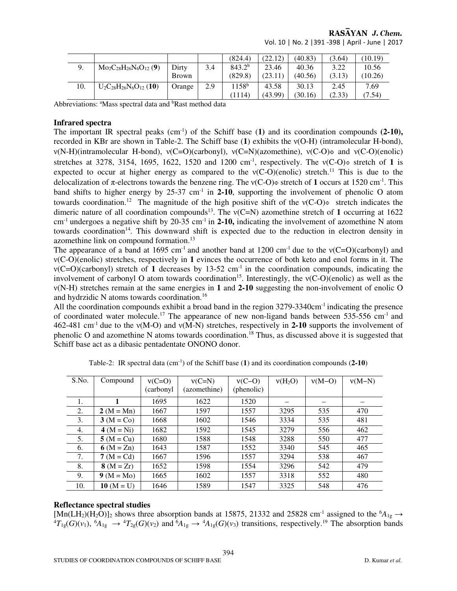## RASAYAN J. Chem.

|     |                                 |              |     | (824.4)            | (22.12) | (40.83) | (3.64) | (10.19) |
|-----|---------------------------------|--------------|-----|--------------------|---------|---------|--------|---------|
| 9.  | $Mo_2C_{28}H_{26}N_6O_{12}$ (9) | Dirty        | 3.4 | 843.2 <sup>b</sup> | 23.46   | 40.36   | 3.22   | 10.56   |
|     |                                 | <b>Brown</b> |     | (829.8)            | (23.11) | (40.56) | (3.13) | (10.26) |
| 10. | $U_2C_{28}H_{26}N_6O_{12}$ (10) | Orange       | 2.9 | $1158^{b}$         | 43.58   | 30.13   | 2.45   | 7.69    |
|     |                                 |              |     | 1114               | (43.99) | (30.16) | (2.33) | (7.54)  |

Vol. 10 | No. 2 |391 -398 | April - June | 2017

Abbreviations: <sup>a</sup>Mass spectral data and <sup>b</sup>Rast method data

#### **Infrared spectra**

The important IR spectral peaks  $(cm^{-1})$  of the Schiff base (1) and its coordination compounds  $(2-10)$ , recorded in KBr are shown in Table-2. The Schiff base (**1**) exhibits the ν(O-H) (intramolecular H-bond), ν(N-H)(intramolecular H-bond), ν(C=O)(carbonyl), ν(C=N)(azomethine), ν(C-O)ɸ and ν(C-O)(enolic) stretches at 3278, 3154, 1695, 1622, 1520 and 1200 cm-1, respectively. The ν(C-O)ɸ stretch of **1** is expected to occur at higher energy as compared to the  $v(C-O)(enolic)$  stretch.<sup>11</sup> This is due to the delocalization of π-electrons towards the benzene ring. The ν(C-O)ɸ stretch of **1** occurs at 1520 cm-1. This band shifts to higher energy by 25-37 cm<sup>-1</sup> in **2-10**, supporting the involvement of phenolic O atom towards coordination.<sup>12</sup> The magnitude of the high positive shift of the  $v(C-O)$  stretch indicates the dimeric nature of all coordination compounds<sup>13</sup>. The  $v(C=N)$  azomethine stretch of 1 occurring at 1622 cm-1 undergoes a negative shift by 20-35 cm-1 in **2-10,** indicating the involvement of azomethine N atom towards coordination<sup>14</sup>. This downward shift is expected due to the reduction in electron density in azomethine link on compound formation.<sup>13</sup>

The appearance of a band at 1695 cm<sup>-1</sup> and another band at 1200 cm<sup>-1</sup> due to the  $v(C=O)(carbony)$  and ν(C-O)(enolic) stretches, respectively in **1** evinces the occurrence of both keto and enol forms in it. The  $v(C=O)(\text{carbonyl})$  stretch of 1 decreases by 13-52 cm<sup>-1</sup> in the coordination compounds, indicating the involvement of carbonyl O atom towards coordination<sup>15</sup>. Interestingly, the  $v(C-O)(enolic)$  as well as the ν(N-H) stretches remain at the same energies in **1** and **2-10** suggesting the non-involvement of enolic O and hydrzidic N atoms towards coordination.<sup>16</sup>

All the coordination compounds exhibit a broad band in the region 3279-3340cm-1 indicating the presence of coordinated water molecule.<sup>17</sup> The appearance of new non-ligand bands between 535-556 cm<sup>-1</sup> and 462-481 cm-1 due to the ν(M-O) and ν(M-N) stretches, respectively in **2-10** supports the involvement of phenolic O and azomethine N atoms towards coordination.<sup>18</sup> Thus, as discussed above it is suggested that Schiff base act as a dibasic pentadentate ONONO donor.

| S.No. | Compound       | $v(C=0)$   | $v(C=N)$     | $v(C-O)$   | $v(H_2O)$ | $v(M-O)$ | $v(M-N)$ |
|-------|----------------|------------|--------------|------------|-----------|----------|----------|
|       |                | (carbonyl) | (azomethine) | (phenolic) |           |          |          |
| 1.    |                | 1695       | 1622         | 1520       |           |          |          |
| 2.    | $2 (M = Mn)$   | 1667       | 1597         | 1557       | 3295      | 535      | 470      |
| 3.    | $3 (M = Co)$   | 1668       | 1602         | 1546       | 3334      | 535      | 481      |
| 4.    | 4 $(M = Ni)$   | 1682       | 1592         | 1545       | 3279      | 556      | 462      |
| 5.    | $5 (M = Cu)$   | 1680       | 1588         | 1548       | 3288      | 550      | 477      |
| 6.    | 6 ( $M = Zn$ ) | 1643       | 1587         | 1552       | 3340      | 545      | 465      |
| 7.    | $7 (M = Cd)$   | 1667       | 1596         | 1557       | 3294      | 538      | 467      |
| 8.    | $8 (M = Zr)$   | 1652       | 1598         | 1554       | 3296      | 542      | 479      |
| 9.    | $9 (M = Mo)$   | 1665       | 1602         | 1557       | 3318      | 552      | 480      |
| 10.   | $10 (M = U)$   | 1646       | 1589         | 1547       | 3325      | 548      | 476      |

Table-2: IR spectral data (cm-1) of the Schiff base (**1**) and its coordination compounds (**2-10**)

#### **Reflectance spectral studies**

[Mn(LH<sub>2</sub>)(H<sub>2</sub>O)]<sub>2</sub> shows three absorption bands at 15875, 21332 and 25828 cm<sup>-1</sup> assigned to the <sup>6</sup> $A_{1g}$   $\rightarrow$  ${}^{4}T_{1g}(G)(v_1)$ ,  ${}^{6}A_{1g} \rightarrow {}^{4}T_{2g}(G)(v_2)$  and  ${}^{6}A_{1g} \rightarrow {}^{4}A_{1g}(G)(v_3)$  transitions, respectively.<sup>19</sup> The absorption bands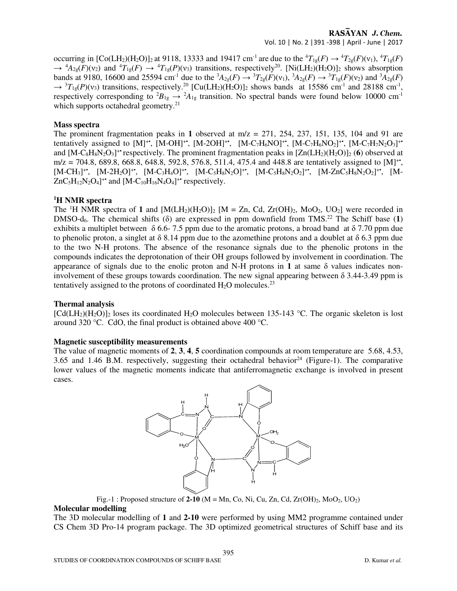## RASAYAN J. Chem.

Vol. 10 | No. 2 |391 -398 | April - June | 2017

occurring in  $[Co(LH_2)(H_2O)]_2$  at 9118, 13333 and 19417 cm<sup>-1</sup> are due to the  ${}^4T_{1g}(F) \rightarrow {}^4T_{2g}(F)(v_1), {}^4T_{1g}(F)$  $\rightarrow$  <sup>4</sup> $A_{2g}(\widetilde{F})(v_2)$  and <sup>4</sup> $T_{1g}(F) \rightarrow$  <sup>4</sup> $T_{1g}(P)(v_3)$  transitions, respectively<sup>20</sup>. [Ni(LH<sub>2</sub>)(H<sub>2</sub>O)]<sub>2</sub> shows absorption bands at 9180, 16600 and 25594 cm<sup>-1</sup> due to the  ${}^{3}A_{2g}(F) \rightarrow {}^{3}T_{2g}(F)(v_1)$ ,  ${}^{3}A_{2g}(F) \rightarrow {}^{3}T_{1g}(F)(v_2)$  and  ${}^{3}A_{2g}(F)$  $\rightarrow$  <sup>3</sup> $T_{1g}(P)(v_3)$  transitions, respectively.<sup>20</sup> [Cu(LH<sub>2</sub>)(H<sub>2</sub>O)]<sub>2</sub> shows bands at 15586 cm<sup>-1</sup> and 28188 cm<sup>-1</sup>, respectively corresponding to <sup>2</sup> $B_{1g} \rightarrow {}^2A_{1g}$  transition. No spectral bands were found below 10000 cm<sup>-1</sup> which supports octahedral geometry.<sup>21</sup>

#### **Mass spectra**

The prominent fragmentation peaks in 1 observed at  $m/z = 271$ , 254, 237, 151, 135, 104 and 91 are tentatively assigned to [M]<sup>+•</sup>, [M-OH]<sup>+•</sup>, [M-2OH]<sup>+•</sup>, [M-C<sub>7</sub>H<sub>6</sub>NO]<sup>+•</sup>, [M-C<sub>7</sub>H<sub>6</sub>NO<sub>2</sub>]<sup>+•</sup>, [M-C<sub>7</sub>H<sub>7</sub>N<sub>2</sub>O<sub>3</sub>]<sup>+•</sup> and  $[M-C_8H_8N_2O_3]^+$  respectively. The prominent fragmentation peaks in  $[Zn(LH_2)(H_2O)]_2$  (6) observed at m/z = 704.8, 689.8, 668.8, 648.8, 592.8, 576.8, 511.4, 475.4 and 448.8 are tentatively assigned to [M]<sup>++</sup>,  $[M-CH_3]^+$ ,  $[M-2H_2O]^+$ ,  $[M-C_3H_4O]^+$ ,  $[M-C_5H_8N_2O]^+$ ,  $[M-C_5H_8N_2O_2]^+$ ,  $[M-ZnC_5H_8N_2O_2]^+$ ,  $[M-ZnC_5H_8N_2O_2]^+$  $ZnC_5H_{12}N_2O_4$ <sup>+•</sup> and  $[M-C_{10}H_{16}N_4O_4]$ <sup>+•</sup> respectively.

#### **<sup>1</sup>H NMR spectra**

The <sup>1</sup>H NMR spectra of 1 and  $[M(LH_2)(H_2O)]_2$   $[M = Zn, Cd, Zr(OH)_2, MoO_2, UO_2]$  were recorded in DMSO-d<sub>6</sub>. The chemical shifts ( $\delta$ ) are expressed in ppm downfield from TMS.<sup>22</sup> The Schiff base (1) exhibits a multiplet between  $\delta$  6.6-7.5 ppm due to the aromatic protons, a broad band at  $\delta$  7.70 ppm due to phenolic proton, a singlet at  $\delta$  8.14 ppm due to the azomethine protons and a doublet at  $\delta$  6.3 ppm due to the two N-H protons. The absence of the resonance signals due to the phenolic protons in the compounds indicates the deprotonation of their OH groups followed by involvement in coordination. The appearance of signals due to the enolic proton and N-H protons in **1** at same δ values indicates noninvolvement of these groups towards coordination. The new signal appearing between δ 3.44-3.49 ppm is tentatively assigned to the protons of coordinated  $H_2O$  molecules.<sup>23</sup>

#### **Thermal analysis**

 $\text{[Cd(LH<sub>2</sub>)(H<sub>2</sub>O)]<sub>2</sub>}$  loses its coordinated H<sub>2</sub>O molecules between 135-143 °C. The organic skeleton is lost around 320 °C. CdO, the final product is obtained above 400 °C.

#### **Magnetic susceptibility measurements**

The value of magnetic moments of **2**, **3**, **4**, **5** coordination compounds at room temperature are 5.68, 4.53, 3.65 and 1.46 B.M. respectively, suggesting their octahedral behavior<sup>24</sup> (Figure-1). The comparative lower values of the magnetic moments indicate that antiferromagnetic exchange is involved in present cases.



Fig.-1 : Proposed structure of  $2-10$  (M = Mn, Co, Ni, Cu, Zn, Cd, Zr(OH)<sub>2</sub>, MoO<sub>2</sub>, UO<sub>2</sub>)

#### **Molecular modelling**

The 3D molecular modelling of **1** and **2-10** were performed by using MM2 programme contained under CS Chem 3D Pro-14 program package. The 3D optimized geometrical structures of Schiff base and its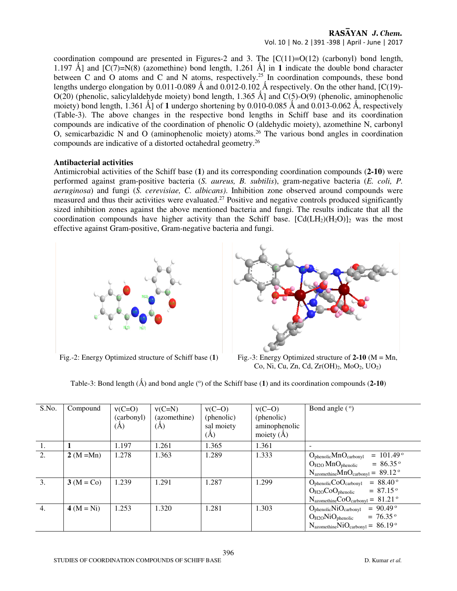#### RASAYAN J. Chem. Vol. 10 | No. 2 |391 -398 | April - June | 2017

coordination compound are presented in Figures-2 and 3. The  $[C(11)=O(12)$  (carbonyl) bond length, 1.197 Å] and  $[CC(7)=N(8)$  (azomethine) bond length, 1.261 Å] in 1 indicate the double bond character between C and O atoms and C and N atoms, respectively.<sup>25</sup> In coordination compounds, these bond lengths undergo elongation by 0.011-0.089  $\AA$  and 0.012-0.102  $\AA$  respectively. On the other hand, [C(19)- $O(20)$  (phenolic, salicylaldehyde moiety) bond length, 1.365 Ål and  $C(5)$ -O(9) (phenolic, aminophenolic moiety) bond length,  $1.361 \text{ Å}$ ] of 1 undergo shortening by 0.010-0.085 Å and 0.013-0.062 Å, respectively (Table-3). The above changes in the respective bond lengths in Schiff base and its coordination compounds are indicative of the coordination of phenolic O (aldehydic moiety), azomethine N, carbonyl O, semicarbazidic N and O (aminophenolic moiety) atoms.<sup>26</sup> The various bond angles in coordination compounds are indicative of a distorted octahedral geometry.<sup>26</sup>

#### **Antibacterial activities**

Antimicrobial activities of the Schiff base (**1**) and its corresponding coordination compounds (**2-10**) were performed against gram-positive bacteria (*S. aureus, B. subtilis*), gram-negative bacteria (*E. coli, P. aeruginosa*) and fungi (*S. cerevisiae, C. albicans)*. Inhibition zone observed around compounds were measured and thus their activities were evaluated.<sup>27</sup> Positive and negative controls produced significantly sized inhibition zones against the above mentioned bacteria and fungi. The results indicate that all the coordination compounds have higher activity than the Schiff base.  $[Cd(LH<sub>2</sub>)(H<sub>2</sub>O)]<sub>2</sub>$  was the most effective against Gram-positive, Gram-negative bacteria and fungi.





Fig.-2: Energy Optimized structure of Schiff base (**1**) Fig.-3: Energy Optimized structure of **2-10** (M = Mn, Co, Ni, Cu, Zn, Cd, Zr(OH)<sub>2</sub>, MoO<sub>2</sub>, UO<sub>2</sub>)

Table-3: Bond length  $(\hat{A})$  and bond angle  $(°)$  of the Schiff base  $(1)$  and its coordination compounds  $(2\text{-}10)$ 

| S.No. | Compound       | $v(C=0)$<br>(carbonyl)<br>(A) | $v(C=N)$<br>(azomethine)<br>(A) | $v(C-O)$<br>(phenolic)<br>sal moiety<br>$(\AA)$ | $v(C-O)$<br>(phenolic)<br>aminophenolic<br>moiety $(\AA)$ | Bond angle $(°)$                                                                                                                                                                                            |
|-------|----------------|-------------------------------|---------------------------------|-------------------------------------------------|-----------------------------------------------------------|-------------------------------------------------------------------------------------------------------------------------------------------------------------------------------------------------------------|
| 1.    |                | 1.197                         | 1.261                           | 1.365                                           | 1.361                                                     |                                                                                                                                                                                                             |
| 2.    | $2 (M = Mn)$   | 1.278                         | 1.363                           | 1.289                                           | 1.333                                                     | $= 101.49$ <sup>o</sup><br>$O_{\text{phenolic}}MnO_{\text{carbonyl}}$<br>$= 86.35$ <sup>o</sup><br>$O_{H2O}$ Mn $O_{\text{phenolic}}$<br>$N_{\text{azomethine}} MnO_{\text{carbonyl}} = 89.12$ <sup>o</sup> |
| 3.    | $3 (M = Co)$   | 1.239                         | 1.291                           | 1.287                                           | 1.299                                                     | $= 88.40$ <sup>o</sup><br>$O_{\text{phenolic}}$ CO $O_{\text{carbonyl}}$<br>$= 87.15$ <sup>o</sup><br>$O_{H2O}CoO_{phenolic}$<br>$N_{azomethine}CoO_{carbonyl} = 81.21$ <sup>o</sup>                        |
| 4.    | 4 ( $M = Ni$ ) | 1.253                         | 1.320                           | 1.281                                           | 1.303                                                     | $= 90.49$ <sup>o</sup><br>$O_{\text{phenolic}}$ Ni $O_{\text{carbonyl}}$<br>$= 76.35$ <sup>o</sup><br>$O_{H2O}$ Ni $O_{phenolic}$<br>$N_{azomethine}$ NiO <sub>carbonyl</sub> = 86.19 <sup>o</sup>          |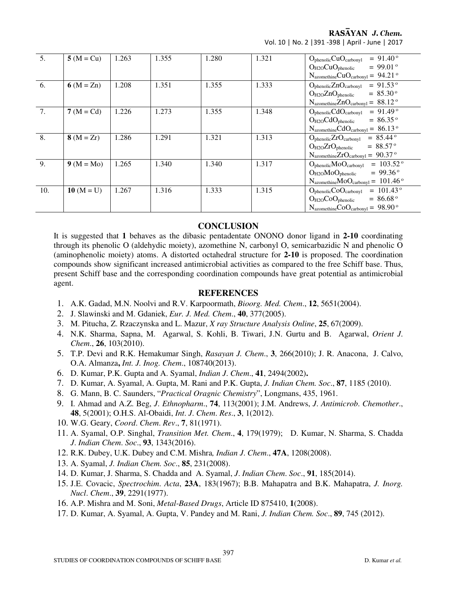RASAYAN J. Chem. Vol. 10 | No. 2 |391 -398 | April - June | 2017

| 5.  | $5 (M = Cu)$ | 1.263 | 1.355 | 1.280 | 1.321 | $= 91.40$ °<br>$O_{\text{phenolic}}CuO_{\text{carbonyl}}$                    |
|-----|--------------|-------|-------|-------|-------|------------------------------------------------------------------------------|
|     |              |       |       |       |       | $= 99.01$ °<br>$O_{H2O}CuO_{phenolic}$                                       |
|     |              |       |       |       |       | $N_{azomethine}CuO_{carbonyl} = 94.21$ <sup>o</sup>                          |
| 6.  | 6 $(M = Zn)$ | 1.208 | 1.351 | 1.355 | 1.333 | $= 91.53$ °<br>$O_{\text{phenolic}}ZnO_{\text{carbonyl}}$                    |
|     |              |       |       |       |       | $= 85.30$ °<br>$O_{H2O}ZnO_{\text{phenolic}}$                                |
|     |              |       |       |       |       | $N_{azomethine} ZnO_{carbonyl} = 88.12$ <sup>o</sup>                         |
| 7.  | $7 (M = Cd)$ | 1.226 | 1.273 | 1.355 | 1.348 | $= 91.49$ <sup>o</sup><br>$O_{\text{phenolic}}\text{CdO}_{\text{carbonyl}}$  |
|     |              |       |       |       |       | $O_{H2O}CdO_{\text{phenolic}}$<br>$= 86.35$ °                                |
|     |              |       |       |       |       | $N_{azomethine}CdO_{carbonyl} = 86.13^{\circ}$                               |
| 8.  | $8(M = Zr)$  | 1.286 | 1.291 | 1.321 | 1.313 | $= 85.44$ °<br>$O_{\text{phenolic}}ZrO_{\text{carbonyl}}$                    |
|     |              |       |       |       |       | $O_{H2O}ZrO_{\text{phenolic}}$<br>$= 88.57$ °                                |
|     |              |       |       |       |       | $N_{azomethine}ZrO_{carbonyl} = 90.37°$                                      |
| 9.  | $9 (M = Mo)$ | 1.265 | 1.340 | 1.340 | 1.317 | $= 103.52$ <sup>o</sup><br>$O_{\text{phenolic}}\text{MoO}_{\text{carbonyl}}$ |
|     |              |       |       |       |       | $= 99.36$ °<br>$O_{H2O}MoO_{phenolic}$                                       |
|     |              |       |       |       |       | $N_{azomethine}MoO_{carbonyl} = 101.46$ <sup>o</sup>                         |
| 10. | $10 (M = U)$ | 1.267 | 1.316 | 1.333 | 1.315 | $= 101.43$ °<br>$O_{\text{phenolic}}$ Co $O_{\text{carbonyl}}$               |
|     |              |       |       |       |       | $= 86.68$ °<br>$O_{H2O}CoO_{phenolic}$                                       |
|     |              |       |       |       |       | $N_{azomethine}CoO_{carbonyl} = 98.90^{\circ}$                               |

### **CONCLUSION**

It is suggested that **1** behaves as the dibasic pentadentate ONONO donor ligand in **2-10** coordinating through its phenolic O (aldehydic moiety), azomethine N, carbonyl O, semicarbazidic N and phenolic O (aminophenolic moiety) atoms. A distorted octahedral structure for **2-10** is proposed. The coordination compounds show significant increased antimicrobial activities as compared to the free Schiff base. Thus, present Schiff base and the corresponding coordination compounds have great potential as antimicrobial agent.

#### **REFERENCES**

- 1. A.K. Gadad, M.N. Noolvi and R.V. Karpoormath, *Bioorg. Med. Chem*., **12**, 5651(2004).
- 2. J. Slawinski and M. Gdaniek, *Eur. J. Med. Chem*., **40**, 377(2005).
- 3. M. Pitucha, Z. Rzaczynska and L. Mazur, *X ray Structure Analysis Online*, **25**, 67(2009).
- 4. N.K. Sharma, Sapna, M. Agarwal, S. Kohli, B. Tiwari, J.N. Gurtu and B. Agarwal, *Orient J*. *Chem*., **26**, 103(2010).
- 5. T.P. Devi and R.K. Hemakumar Singh, *Rasayan J. Chem*., **3**, 266(2010); J. R. Anacona, J. Calvo, O.A. Almanza**,** *Int. J. Inog. Chem*., 108740(2013).
- 6. D. Kumar, P.K. Gupta and A. Syamal, *Indian J*. *Chem*., **41**, 2494(2002)**.**
- 7. D. Kumar, A. Syamal, A. Gupta, M. Rani and P.K. Gupta, *J. Indian Chem. Soc*., **87**, 1185 (2010).
- 8. G. Mann, B. C. Saunders, "*Practical Oragnic Chemistry*", Longmans, 435, 1961.
- 9. I. Ahmad and A.Z. Beg, *J*. *Ethnopharm*., **74**, 113(2001); J.M. Andrews, *J*. *Antimicrob*. *Chemother*., **48**, 5(2001); O.H.S. Al-Obaidi, *Int*. *J*. *Chem*. *Res*., **3**, 1(2012).
- 10. W.G. Geary, *Coord*. *Chem*. *Rev*., **7**, 81(1971).
- 11. A. Syamal, O.P. Singhal, *Transition Met. Chem*., **4**, 179(1979); D. Kumar, N. Sharma, S. Chadda *J*. *Indian Chem*. *Soc*., **93**, 1343(2016).
- 12. R.K. Dubey, U.K. Dubey and C.M. Mishra*, Indian J*. *Chem*., **47A**, 1208(2008).
- 13. A. Syamal, *J. Indian Chem. Soc*., **85**, 231(2008).
- 14. D. Kumar, J. Sharma, S. Chadda and A. Syamal, *J*. *Indian Chem*. *Soc*., **91**, 185(2014).
- 15. J.E. Covacic, *Spectrochim*. *Acta*, **23A**, 183(1967); B.B. Mahapatra and B.K. Mahapatra, *J. Inorg. Nucl*. *Chem*., **39**, 2291(1977).
- 16. A.P. Mishra and M. Soni, *Metal*-*Based Drugs*, Article ID 875410, **1**(2008).
- 17. D. Kumar, A. Syamal, A. Gupta, V. Pandey and M. Rani, *J. Indian Chem. Soc*., **89**, 745 (2012).